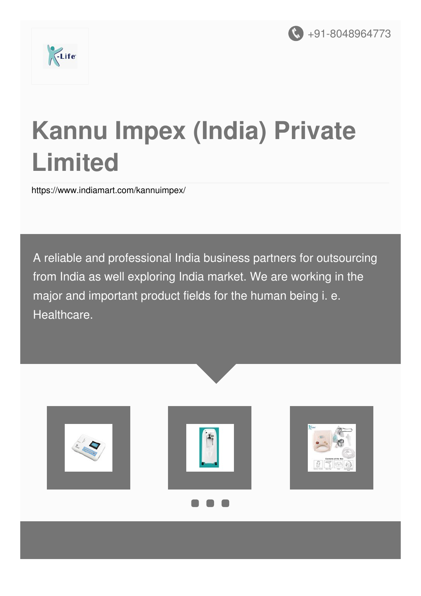



# **Kannu Impex (India) Private Limited**

<https://www.indiamart.com/kannuimpex/>

A reliable and professional India business partners for outsourcing from India as well exploring India market. We are working in the major and important product fields for the human being i. e. Healthcare.





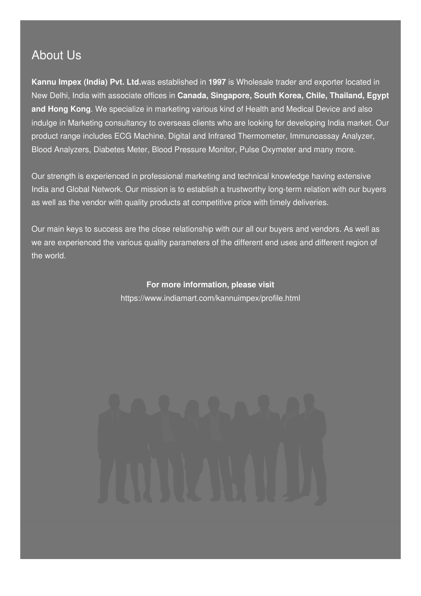#### About Us

**Kannu Impex (India) Pvt. Ltd.**was established in **1997** is Wholesale trader and exporter located in New Delhi, India with associate offices in **Canada, Singapore, South Korea, Chile, Thailand, Egypt and Hong Kong**. We specialize in marketing various kind of Health and Medical Device and also indulge in Marketing consultancy to overseas clients who are looking for developing India market. Our product range includes ECG Machine, Digital and Infrared Thermometer, Immunoassay Analyzer, Blood Analyzers, Diabetes Meter, Blood Pressure Monitor, Pulse Oxymeter and many more.

Our strength is experienced in professional marketing and technical knowledge having extensive India and Global Network. Our mission is to establish a trustworthy long-term relation with our buyers as well as the vendor with quality products at competitive price with timely deliveries.

Our main keys to success are the close relationship with our all our buyers and vendors. As well as we are experienced the various quality parameters of the different end uses and different region of the world.

> **For more information, please visit** <https://www.indiamart.com/kannuimpex/profile.html>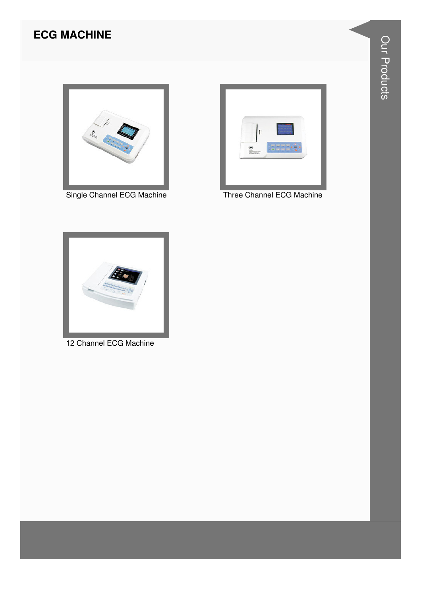#### **ECG MACHINE**



Single Channel ECG Machine



Three Channel ECG Machine



12 Channel ECG Machine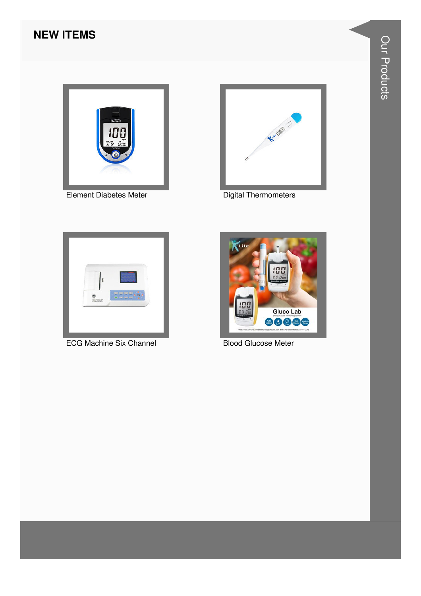#### **NEW ITEMS**



**Element Diabetes Meter** 



**Digital Thermometers** 



**ECG Machine Six Channel** 



**Blood Glucose Meter**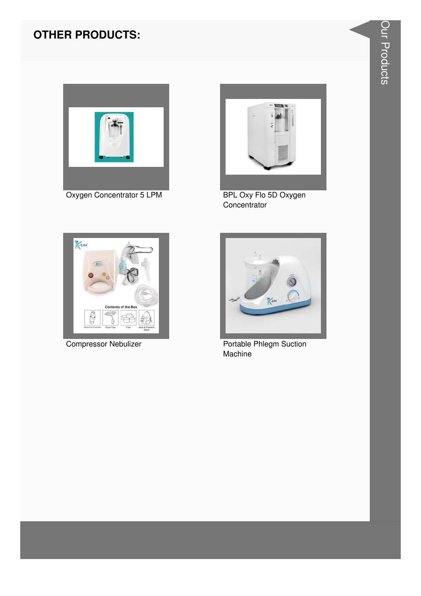### **OTHER PRODUCTS:**



Oxygen Concentrator 5 LPM



BPL Oxy Flo 5D Oxygen Concentrator



**Compressor Nebulizer** 



Portable Phlegm Suction Machine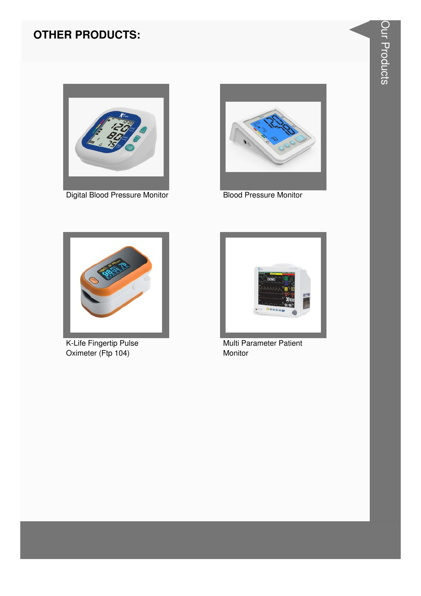#### **OTHER PRODUCTS:**



Digital Blood Pressure Monitor Blood Pressure Monitor





K-Life Fingertip Pulse Oximeter (Ftp 104)



Multi Parameter Patient Monitor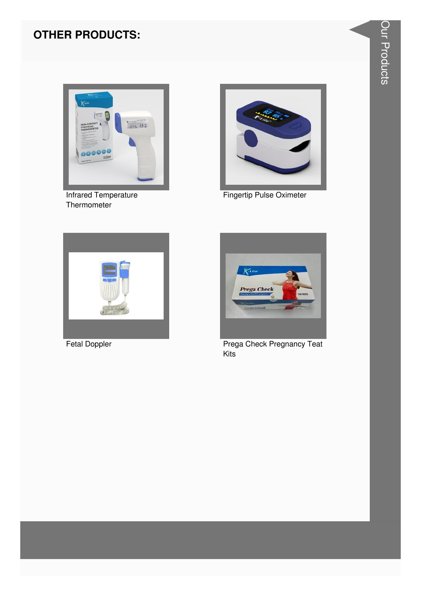#### **OTHER PRODUCTS:**



**Infrared Temperature** Thermometer



**Fingertip Pulse Oximeter** 



**Fetal Doppler** 



**Prega Check Pregnancy Teat** Kits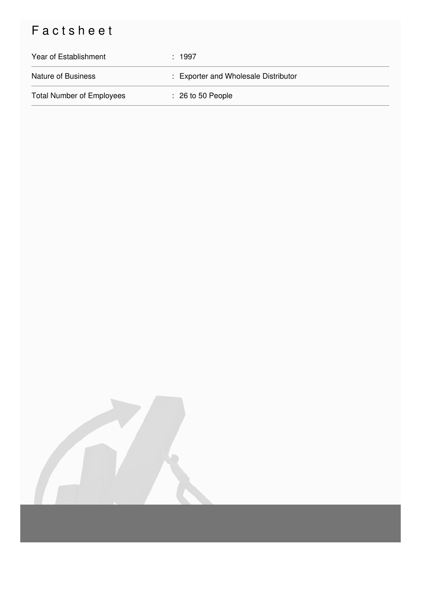## Factsheet

| Year of Establishment            | : 1997                               |
|----------------------------------|--------------------------------------|
| <b>Nature of Business</b>        | : Exporter and Wholesale Distributor |
| <b>Total Number of Employees</b> | $\therefore$ 26 to 50 People         |